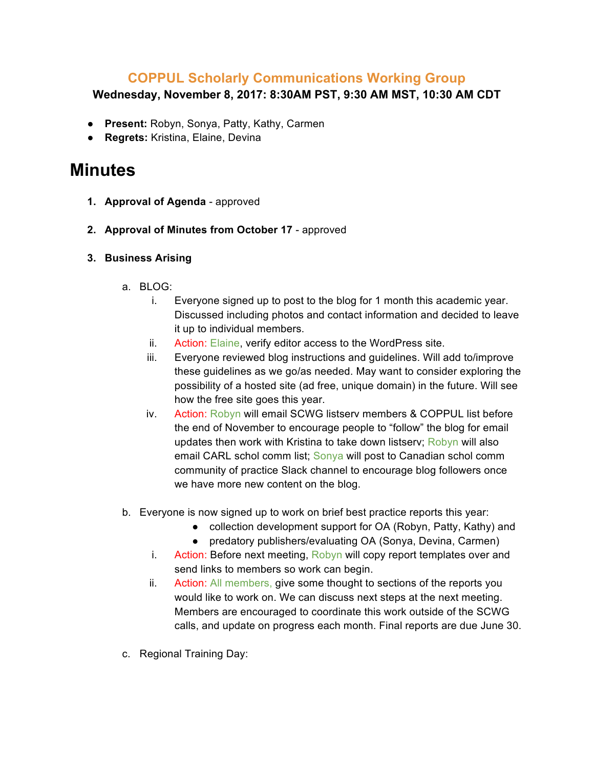## **COPPUL Scholarly Communications Working Group**

**Wednesday, November 8, 2017: 8:30AM PST, 9:30 AM MST, 10:30 AM CDT**

- **Present:** Robyn, Sonya, Patty, Kathy, Carmen
- **Regrets:** Kristina, Elaine, Devina

## **Minutes**

- **1. Approval of Agenda** approved
- **2. Approval of Minutes from October 17** approved
- **3. Business Arising**
	- a. BLOG:
		- i. Everyone signed up to post to the blog for 1 month this academic year. Discussed including photos and contact information and decided to leave it up to individual members.
		- ii. Action: Elaine, verify editor access to the WordPress site.
		- iii. Everyone reviewed blog instructions and guidelines. Will add to/improve these guidelines as we go/as needed. May want to consider exploring the possibility of a hosted site (ad free, unique domain) in the future. Will see how the free site goes this year.
		- iv. Action: Robyn will email SCWG listserv members & COPPUL list before the end of November to encourage people to "follow" the blog for email updates then work with Kristina to take down listserv; Robyn will also email CARL schol comm list; Sonya will post to Canadian schol comm community of practice Slack channel to encourage blog followers once we have more new content on the blog.
	- b. Everyone is now signed up to work on brief best practice reports this year:
		- collection development support for OA (Robyn, Patty, Kathy) and
		- predatory publishers/evaluating OA (Sonya, Devina, Carmen)
		- i. Action: Before next meeting, Robyn will copy report templates over and send links to members so work can begin.
		- ii. Action: All members, give some thought to sections of the reports you would like to work on. We can discuss next steps at the next meeting. Members are encouraged to coordinate this work outside of the SCWG calls, and update on progress each month. Final reports are due June 30.
	- c. Regional Training Day: